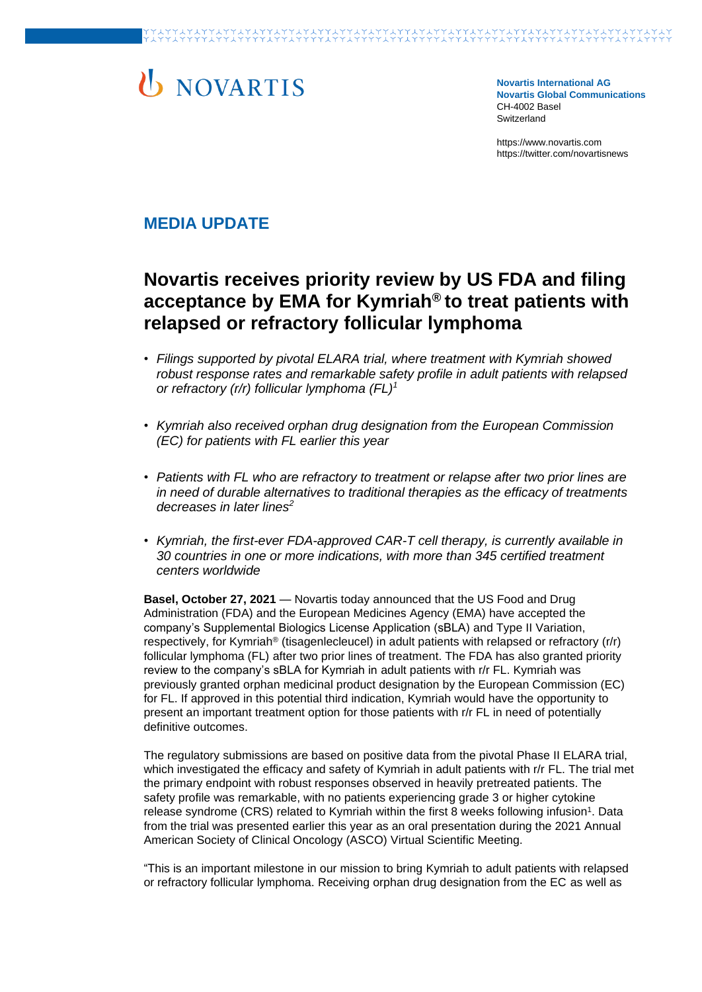# U NOVARTIS

**Novartis International AG Novartis Global Communications**  CH-4002 Basel Switzerland

https://www.novartis.com https://twitter.com/novartisnews

# **MEDIA UPDATE**

# **Novartis receives priority review by US FDA and filing acceptance by EMA for Kymriah® to treat patients with relapsed or refractory follicular lymphoma**

- *Filings supported by pivotal ELARA trial, where treatment with Kymriah showed robust response rates and remarkable safety profile in adult patients with relapsed or refractory (r/r) follicular lymphoma (FL)<sup>1</sup>*
- *Kymriah also received orphan drug designation from the European Commission (EC) for patients with FL earlier this year*
- *Patients with FL who are refractory to treatment or relapse after two prior lines are in need of durable alternatives to traditional therapies as the efficacy of treatments decreases in later lines<sup>2</sup>*
- *Kymriah, the first-ever FDA-approved CAR-T cell therapy, is currently available in 30 countries in one or more indications, with more than 345 certified treatment centers worldwide*

**Basel, October 27, 2021** — Novartis today announced that the US Food and Drug Administration (FDA) and the European Medicines Agency (EMA) have accepted the company's Supplemental Biologics License Application (sBLA) and Type II Variation, respectively, for Kymriah® (tisagenlecleucel) in adult patients with relapsed or refractory (r/r) follicular lymphoma (FL) after two prior lines of treatment. The FDA has also granted priority review to the company's sBLA for Kymriah in adult patients with r/r FL. Kymriah was previously granted orphan medicinal product designation by the European Commission (EC) for FL. If approved in this potential third indication, Kymriah would have the opportunity to present an important treatment option for those patients with r/r FL in need of potentially definitive outcomes.

The regulatory submissions are based on positive data from the pivotal Phase II ELARA trial, which investigated the efficacy and safety of Kymriah in adult patients with r/r FL. The trial met the primary endpoint with robust responses observed in heavily pretreated patients. The safety profile was remarkable, with no patients experiencing grade 3 or higher cytokine release syndrome (CRS) related to Kymriah within the first 8 weeks following infusion<sup>1</sup>. Data from the trial was presented earlier this year as an oral presentation during the 2021 Annual American Society of Clinical Oncology (ASCO) Virtual Scientific Meeting.

"This is an important milestone in our mission to bring Kymriah to adult patients with relapsed or refractory follicular lymphoma. Receiving orphan drug designation from the EC as well as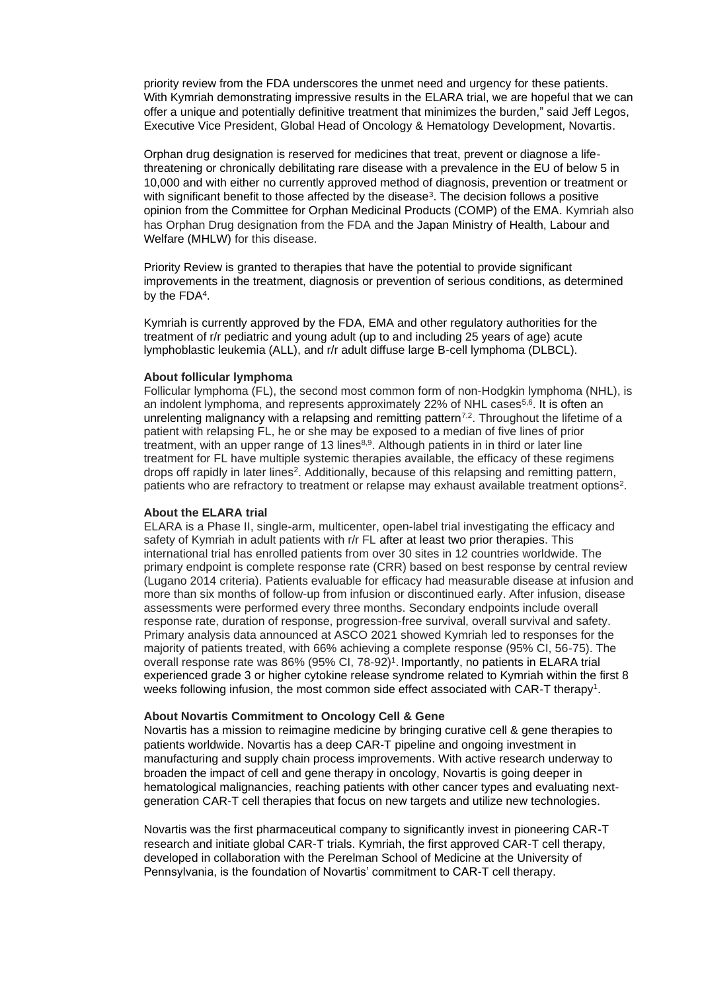priority review from the FDA underscores the unmet need and urgency for these patients. With Kymriah demonstrating impressive results in the ELARA trial, we are hopeful that we can offer a unique and potentially definitive treatment that minimizes the burden," said Jeff Legos, Executive Vice President, Global Head of Oncology & Hematology Development, Novartis.

Orphan drug designation is reserved for medicines that treat, prevent or diagnose a lifethreatening or chronically debilitating rare disease with a prevalence in the EU of below 5 in 10,000 and with either no currently approved method of diagnosis, prevention or treatment or with significant benefit to those affected by the disease<sup>3</sup>. The decision follows a positive opinion from the Committee for Orphan Medicinal Products (COMP) of the EMA. Kymriah also has Orphan Drug designation from the FDA and the Japan Ministry of Health, Labour and Welfare (MHLW) for this disease.

Priority Review is granted to therapies that have the potential to provide significant improvements in the treatment, diagnosis or prevention of serious conditions, as determined by the FDA<sup>4</sup>.

Kymriah is currently approved by the FDA, EMA and other regulatory authorities for the treatment of r/r pediatric and young adult (up to and including 25 years of age) acute lymphoblastic leukemia (ALL), and r/r adult diffuse large B-cell lymphoma (DLBCL).

## **About follicular lymphoma**

Follicular lymphoma (FL), the second most common form of non-Hodgkin lymphoma (NHL), is an indolent lymphoma, and represents approximately 22% of NHL cases5,6 . It is often an unrelenting malignancy with a relapsing and remitting pattern<sup>7,2</sup>. Throughout the lifetime of a patient with relapsing FL, he or she may be exposed to a median of five lines of prior treatment, with an upper range of 13 lines<sup>8,9</sup>. Although patients in in third or later line treatment for FL have multiple systemic therapies available, the efficacy of these regimens drops off rapidly in later lines<sup>2</sup>. Additionally, because of this relapsing and remitting pattern, patients who are refractory to treatment or relapse may exhaust available treatment options<sup>2</sup>.

### **About the ELARA trial**

ELARA is a Phase II, single-arm, multicenter, open-label trial investigating the efficacy and safety of Kymriah in adult patients with r/r FL after at least two prior therapies. This international trial has enrolled patients from over 30 sites in 12 countries worldwide. The primary endpoint is complete response rate (CRR) based on best response by central review (Lugano 2014 criteria). Patients evaluable for efficacy had measurable disease at infusion and more than six months of follow-up from infusion or discontinued early. After infusion, disease assessments were performed every three months. Secondary endpoints include overall response rate, duration of response, progression-free survival, overall survival and safety. Primary analysis data announced at ASCO 2021 showed Kymriah led to responses for the majority of patients treated, with 66% achieving a complete response (95% CI, 56-75). The overall response rate was 86% (95% CI, 78-92)<sup>1</sup> . Importantly, no patients in ELARA trial experienced grade 3 or higher cytokine release syndrome related to Kymriah within the first 8 weeks following infusion, the most common side effect associated with CAR-T therapy<sup>1</sup>.

### **About Novartis Commitment to Oncology Cell & Gene**

Novartis has a mission to reimagine medicine by bringing curative cell & gene therapies to patients worldwide. Novartis has a deep CAR-T pipeline and ongoing investment in manufacturing and supply chain process improvements. With active research underway to broaden the impact of cell and gene therapy in oncology, Novartis is going deeper in hematological malignancies, reaching patients with other cancer types and evaluating nextgeneration CAR-T cell therapies that focus on new targets and utilize new technologies.

Novartis was the first pharmaceutical company to significantly invest in pioneering CAR-T research and initiate global CAR-T trials. Kymriah, the first approved CAR-T cell therapy, developed in collaboration with the Perelman School of Medicine at the University of Pennsylvania, is the foundation of Novartis' commitment to CAR-T cell therapy.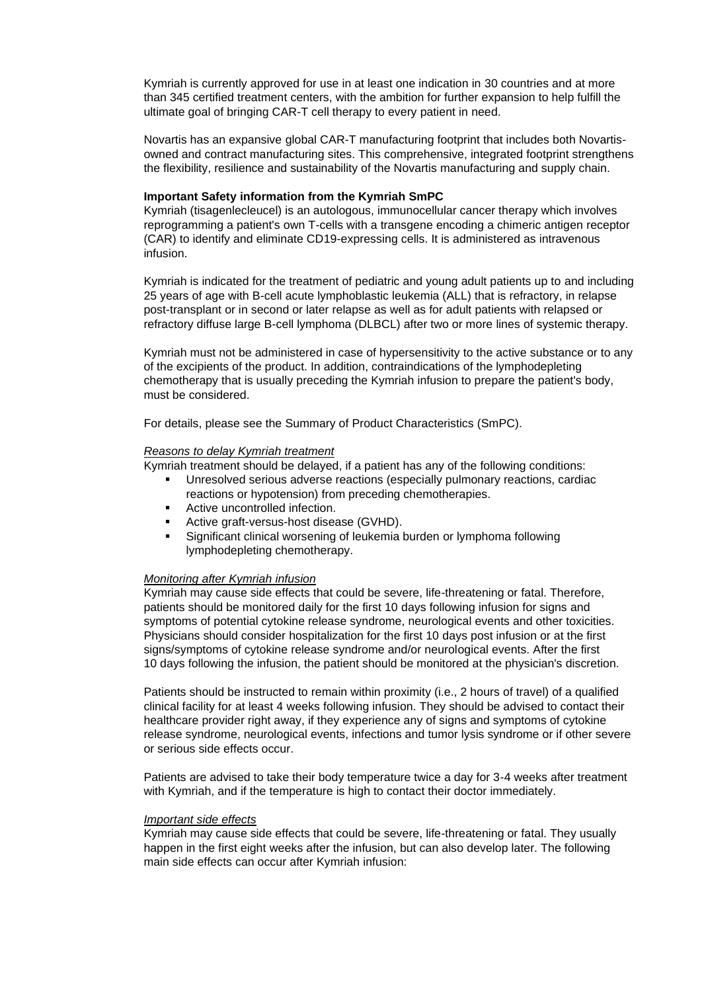Kymriah is currently approved for use in at least one indication in 30 countries and at more than 345 certified treatment centers, with the ambition for further expansion to help fulfill the ultimate goal of bringing CAR-T cell therapy to every patient in need.

Novartis has an expansive global CAR-T manufacturing footprint that includes both Novartisowned and contract manufacturing sites. This comprehensive, integrated footprint strengthens the flexibility, resilience and sustainability of the Novartis manufacturing and supply chain.

# **Important Safety information from the Kymriah SmPC**

Kymriah (tisagenlecleucel) is an autologous, immunocellular cancer therapy which involves reprogramming a patient's own T-cells with a transgene encoding a chimeric antigen receptor (CAR) to identify and eliminate CD19-expressing cells. It is administered as intravenous infusion.

Kymriah is indicated for the treatment of pediatric and young adult patients up to and including 25 years of age with B-cell acute lymphoblastic leukemia (ALL) that is refractory, in relapse post-transplant or in second or later relapse as well as for adult patients with relapsed or refractory diffuse large B-cell lymphoma (DLBCL) after two or more lines of systemic therapy.

Kymriah must not be administered in case of hypersensitivity to the active substance or to any of the excipients of the product. In addition, contraindications of the lymphodepleting chemotherapy that is usually preceding the Kymriah infusion to prepare the patient's body, must be considered.

For details, please see the Summary of Product Characteristics (SmPC).

# *Reasons to delay Kymriah treatment*

Kymriah treatment should be delayed, if a patient has any of the following conditions:

- Unresolved serious adverse reactions (especially pulmonary reactions, cardiac reactions or hypotension) from preceding chemotherapies.
- Active uncontrolled infection.
- Active graft-versus-host disease (GVHD).
- Significant clinical worsening of leukemia burden or lymphoma following lymphodepleting chemotherapy.

# *Monitoring after Kymriah infusion*

Kymriah may cause side effects that could be severe, life-threatening or fatal. Therefore, patients should be monitored daily for the first 10 days following infusion for signs and symptoms of potential cytokine release syndrome, neurological events and other toxicities. Physicians should consider hospitalization for the first 10 days post infusion or at the first signs/symptoms of cytokine release syndrome and/or neurological events. After the first 10 days following the infusion, the patient should be monitored at the physician's discretion.

Patients should be instructed to remain within proximity (i.e., 2 hours of travel) of a qualified clinical facility for at least 4 weeks following infusion. They should be advised to contact their healthcare provider right away, if they experience any of signs and symptoms of cytokine release syndrome, neurological events, infections and tumor lysis syndrome or if other severe or serious side effects occur.

Patients are advised to take their body temperature twice a day for 3-4 weeks after treatment with Kymriah, and if the temperature is high to contact their doctor immediately.

### *Important side effects*

Kymriah may cause side effects that could be severe, life-threatening or fatal. They usually happen in the first eight weeks after the infusion, but can also develop later. The following main side effects can occur after Kymriah infusion: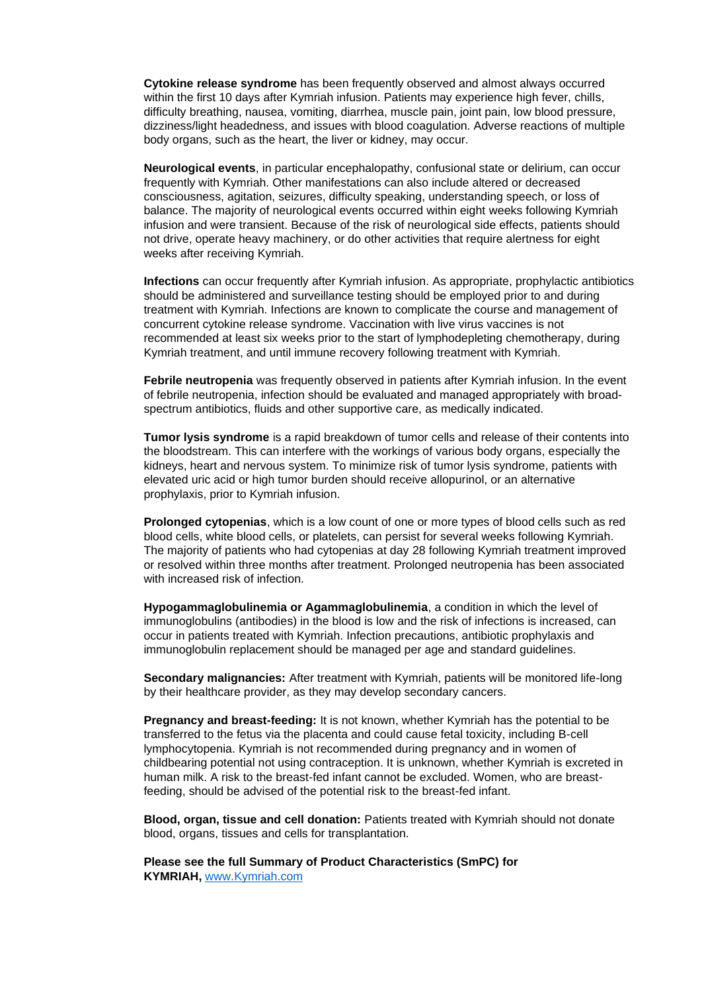**Cytokine release syndrome** has been frequently observed and almost always occurred within the first 10 days after Kymriah infusion. Patients may experience high fever, chills, difficulty breathing, nausea, vomiting, diarrhea, muscle pain, joint pain, low blood pressure, dizziness/light headedness, and issues with blood coagulation. Adverse reactions of multiple body organs, such as the heart, the liver or kidney, may occur.

**Neurological events**, in particular encephalopathy, confusional state or delirium, can occur frequently with Kymriah. Other manifestations can also include altered or decreased consciousness, agitation, seizures, difficulty speaking, understanding speech, or loss of balance. The majority of neurological events occurred within eight weeks following Kymriah infusion and were transient. Because of the risk of neurological side effects, patients should not drive, operate heavy machinery, or do other activities that require alertness for eight weeks after receiving Kymriah.

**Infections** can occur frequently after Kymriah infusion. As appropriate, prophylactic antibiotics should be administered and surveillance testing should be employed prior to and during treatment with Kymriah. Infections are known to complicate the course and management of concurrent cytokine release syndrome. Vaccination with live virus vaccines is not recommended at least six weeks prior to the start of lymphodepleting chemotherapy, during Kymriah treatment, and until immune recovery following treatment with Kymriah.

**Febrile neutropenia** was frequently observed in patients after Kymriah infusion. In the event of febrile neutropenia, infection should be evaluated and managed appropriately with broadspectrum antibiotics, fluids and other supportive care, as medically indicated.

**Tumor lysis syndrome** is a rapid breakdown of tumor cells and release of their contents into the bloodstream. This can interfere with the workings of various body organs, especially the kidneys, heart and nervous system. To minimize risk of tumor lysis syndrome, patients with elevated uric acid or high tumor burden should receive allopurinol, or an alternative prophylaxis, prior to Kymriah infusion.

**Prolonged cytopenias**, which is a low count of one or more types of blood cells such as red blood cells, white blood cells, or platelets, can persist for several weeks following Kymriah. The majority of patients who had cytopenias at day 28 following Kymriah treatment improved or resolved within three months after treatment. Prolonged neutropenia has been associated with increased risk of infection.

**Hypogammaglobulinemia or Agammaglobulinemia**, a condition in which the level of immunoglobulins (antibodies) in the blood is low and the risk of infections is increased, can occur in patients treated with Kymriah. Infection precautions, antibiotic prophylaxis and immunoglobulin replacement should be managed per age and standard guidelines.

**Secondary malignancies:** After treatment with Kymriah, patients will be monitored life-long by their healthcare provider, as they may develop secondary cancers.

**Pregnancy and breast-feeding:** It is not known, whether Kymriah has the potential to be transferred to the fetus via the placenta and could cause fetal toxicity, including B-cell lymphocytopenia. Kymriah is not recommended during pregnancy and in women of childbearing potential not using contraception. It is unknown, whether Kymriah is excreted in human milk. A risk to the breast-fed infant cannot be excluded. Women, who are breastfeeding, should be advised of the potential risk to the breast-fed infant.

**Blood, organ, tissue and cell donation:** Patients treated with Kymriah should not donate blood, organs, tissues and cells for transplantation.

**Please see the full Summary of Product Characteristics (SmPC) for KYMRIAH,** [www.Kymriah.com](http://www.kymriah.com/)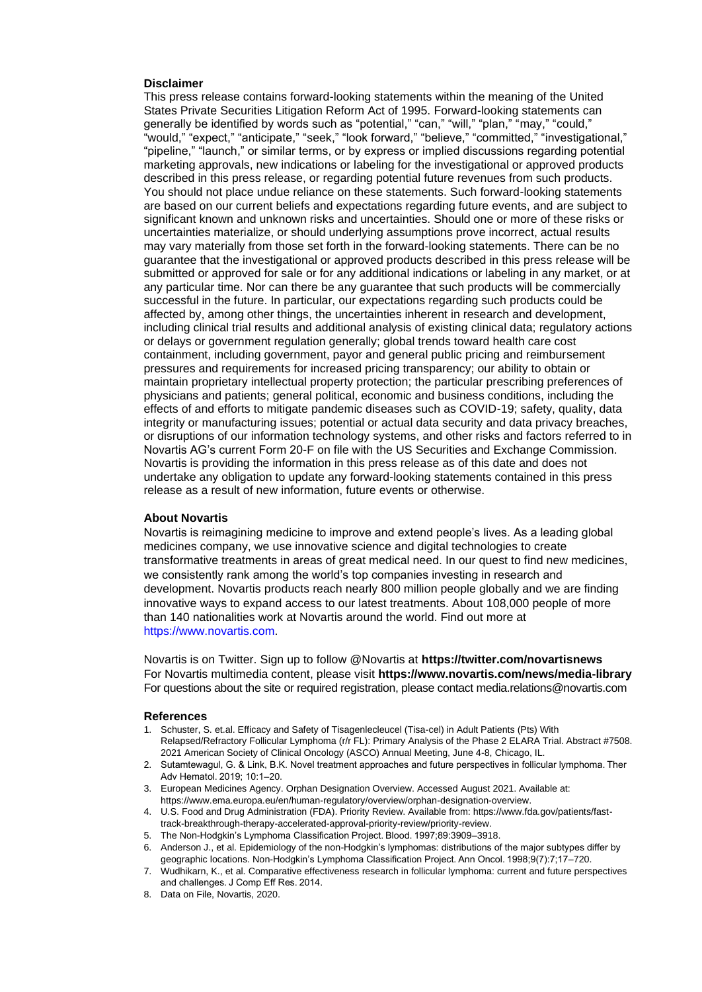### **Disclaimer**

This press release contains forward-looking statements within the meaning of the United States Private Securities Litigation Reform Act of 1995. Forward-looking statements can generally be identified by words such as "potential," "can," "will," "plan," "may," "could," "would," "expect," "anticipate," "seek," "look forward," "believe," "committed," "investigational," "pipeline," "launch," or similar terms, or by express or implied discussions regarding potential marketing approvals, new indications or labeling for the investigational or approved products described in this press release, or regarding potential future revenues from such products. You should not place undue reliance on these statements. Such forward-looking statements are based on our current beliefs and expectations regarding future events, and are subject to significant known and unknown risks and uncertainties. Should one or more of these risks or uncertainties materialize, or should underlying assumptions prove incorrect, actual results may vary materially from those set forth in the forward-looking statements. There can be no guarantee that the investigational or approved products described in this press release will be submitted or approved for sale or for any additional indications or labeling in any market, or at any particular time. Nor can there be any guarantee that such products will be commercially successful in the future. In particular, our expectations regarding such products could be affected by, among other things, the uncertainties inherent in research and development, including clinical trial results and additional analysis of existing clinical data; regulatory actions or delays or government regulation generally; global trends toward health care cost containment, including government, payor and general public pricing and reimbursement pressures and requirements for increased pricing transparency; our ability to obtain or maintain proprietary intellectual property protection; the particular prescribing preferences of physicians and patients; general political, economic and business conditions, including the effects of and efforts to mitigate pandemic diseases such as COVID-19; safety, quality, data integrity or manufacturing issues; potential or actual data security and data privacy breaches, or disruptions of our information technology systems, and other risks and factors referred to in Novartis AG's current Form 20-F on file with the US Securities and Exchange Commission. Novartis is providing the information in this press release as of this date and does not undertake any obligation to update any forward-looking statements contained in this press release as a result of new information, future events or otherwise.

### **About Novartis**

Novartis is reimagining medicine to improve and extend people's lives. As a leading global medicines company, we use innovative science and digital technologies to create transformative treatments in areas of great medical need. In our quest to find new medicines, we consistently rank among the world's top companies investing in research and development. Novartis products reach nearly 800 million people globally and we are finding innovative ways to expand access to our latest treatments. About 108,000 people of more than 140 nationalities work at Novartis around the world. Find out more at https://www.novartis.com.

Novartis is on Twitter. Sign up to follow @Novartis at **<https://twitter.com/novartisnews>** For Novartis multimedia content, please visit **https:/[/www.novartis.com/news/media-library](http://www.novartis.com/news/media-library)** For questions about the site or required registration, please contact [media.relations@novartis.com](mailto:media.relations@novartis.com)

### **References**

- 1. Schuster, S. et.al. Efficacy and Safety of Tisagenlecleucel (Tisa-cel) in Adult Patients (Pts) With Relapsed/Refractory Follicular Lymphoma (r/r FL): Primary Analysis of the Phase 2 ELARA Trial. Abstract #7508. 2021 American Society of Clinical Oncology (ASCO) Annual Meeting, June 4-8, Chicago, IL.
- 2. Sutamtewagul, G. & Link, B.K. Novel treatment approaches and future perspectives in follicular lymphoma. Ther Adv Hematol. 2019; 10:1–20.
- 3. European Medicines Agency. Orphan Designation Overview. Accessed August 2021. Available at: https://www.ema.europa.eu/en/human-regulatory/overview/orphan-designation-overview.
- 4. U.S. Food and Drug Administration (FDA). Priority Review. Available from: https://www.fda.gov/patients/fasttrack-breakthrough-therapy-accelerated-approval-priority-review/priority-review.
- 5. The Non-Hodgkin's Lymphoma Classification Project. Blood. 1997;89:3909–3918.
- 6. Anderson J., et al. Epidemiology of the non-Hodgkin's lymphomas: distributions of the major subtypes differ by geographic locations. Non-Hodgkin's Lymphoma Classification Project. Ann Oncol. 1998;9(7):7;17–720.
- 7. Wudhikarn, K., et al. Comparative effectiveness research in follicular lymphoma: current and future perspectives and challenges. J Comp Eff Res. 2014.
- 8. Data on File, Novartis, 2020.